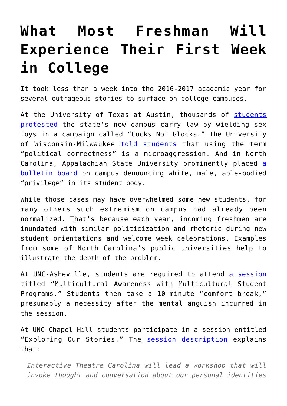## **[What Most Freshman Will](https://intellectualtakeout.org/2016/08/what-most-freshman-will-experience-their-first-week-in-college/) [Experience Their First Week](https://intellectualtakeout.org/2016/08/what-most-freshman-will-experience-their-first-week-in-college/) [in College](https://intellectualtakeout.org/2016/08/what-most-freshman-will-experience-their-first-week-in-college/)**

It took less than a week into the 2016-2017 academic year for several outrageous stories to surface on college campuses.

At the University of Texas at Austin, thousands of [students](http://www.campusreform.org/?ID=8047) [protested](http://www.campusreform.org/?ID=8047) the state's new campus carry law by wielding sex toys in a campaign called "Cocks Not Glocks." The University of Wisconsin-Milwaukee [told students](http://heatst.com/culture-wars/uw-milwaukee-posters-warn-students-not-to-say-politically-correct-or-use-words-like-lame-crazy-and-trash/) that using the term "political correctness" is a microaggression. And in North Carolina, Appalachian State University prominently placed [a](http://www.campusreform.org/?ID=8022) [bulletin board](http://www.campusreform.org/?ID=8022) on campus denouncing white, male, able-bodied "privilege" in its student body.

While those cases may have overwhelmed some new students, for many others such extremism on campus had already been normalized. That's because each year, incoming freshmen are inundated with similar politicization and rhetoric during new student orientations and welcome week celebrations. Examples from some of North Carolina's public universities help to illustrate the depth of the problem.

At UNC-Asheville, students are required to attend [a session](https://transition.unca.edu/sites/default/files/Schedule%2520for%2520August%2520make-up%2520session%2520--%2520August%252019.pdf) titled "Multicultural Awareness with Multicultural Student Programs." Students then take a 10-minute "comfort break," presumably a necessity after the mental anguish incurred in the session.

At UNC-Chapel Hill students participate in a session entitled "Exploring Our Stories." The [session description](https://nscpp.unc.edu/sites/nscpp.unc.edu/files/documents/August%252520Orientation%252520Student%252520Schedule.pdf) explains that:

*Interactive Theatre Carolina will lead a workshop that will invoke thought and conversation about our personal identities*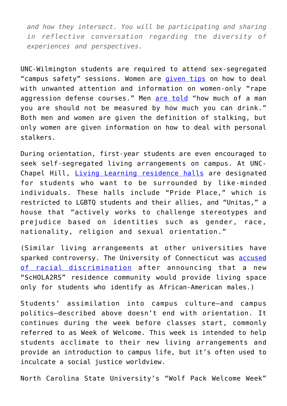*and how they intersect. You will be participating and sharing in reflective conversation regarding the diversity of experiences and perspectives.*

UNC-Wilmington students are required to attend sex-segregated "campus safety" sessions. Women are [given tips](https://guidebook.com/guide/69402/poi/6089008/) on how to deal with unwanted attention and information on women-only "rape aggression defense courses." Men [are told](https://guidebook.com/guide/69402/poi/6089010/) "how much of a man you are should not be measured by how much you can drink." Both men and women are given the definition of stalking, but only women are given information on how to deal with personal stalkers.

During orientation, first-year students are even encouraged to seek self-segregated living arrangements on campus. At UNC-Chapel Hill, [Living Learning residence halls](http://housing.unc.edu/residence-halls/residential-learning-program) are designated for students who want to be surrounded by like-minded individuals. These halls include "Pride Place," which is restricted to LGBTQ students and their allies, and "Unitas," a house that "actively works to challenge stereotypes and prejudice based on identities such as gender, race, nationality, religion and sexual orientation."

(Similar living arrangements at other universities have sparked controversy. The University of Connecticut was **accused** [of racial discrimination](http://www.theblaze.com/stories/2016/01/31/the-reason-why-uconn-decided-to-build-a-dorm-only-for-black-men/) after announcing that a new "ScHOLA2RS" residence community would provide living space only for students who identify as African-American males.)

Students' assimilation into campus culture—and campus politics—described above doesn't end with orientation. It continues during the week before classes start, commonly referred to as Week of Welcome. This week is intended to help students acclimate to their new living arrangements and provide an introduction to campus life, but it's often used to inculcate a social justice worldview.

North Carolina State University's "Wolf Pack Welcome Week"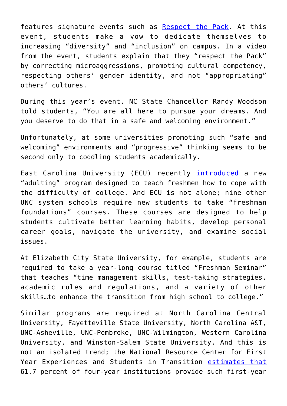features signature events such as [Respect the Pack.](https://news.ncsu.edu/2016/08/a-matter-of-respect/) At this event, students make a vow to dedicate themselves to increasing "diversity" and "inclusion" on campus. In a video from the event, students explain that they "respect the Pack" by correcting microaggressions, promoting cultural competency, respecting others' gender identity, and not "appropriating" others' cultures.

During this year's event, NC State Chancellor Randy Woodson told students, "You are all here to pursue your dreams. And you deserve to do that in a safe and welcoming environment."

Unfortunately, at some universities promoting such "safe and welcoming" environments and "progressive" thinking seems to be second only to coddling students academically.

East Carolina University (ECU) recently [introduced](http://www.reflector.com/News/2016/08/06/Report-Behavioral-issues-counseling-demand-increase-at-ECU.html) a new "adulting" program designed to teach freshmen how to cope with the difficulty of college. And ECU is not alone; nine other UNC system schools require new students to take "freshman foundations" courses. These courses are designed to help students cultivate better learning habits, develop personal career goals, navigate the university, and examine social issues.

At Elizabeth City State University, for example, students are required to take a year-long course titled "Freshman Seminar" that teaches "time management skills, test-taking strategies, academic rules and regulations, and a variety of other skills…to enhance the transition from high school to college."

Similar programs are required at North Carolina Central University, Fayetteville State University, North Carolina A&T, UNC-Asheville, UNC-Pembroke, UNC-Wilmington, Western Carolina University, and Winston-Salem State University. And this is not an isolated trend; the National Resource Center for First Year Experiences and Students in Transition [estimates that](http://www.sc.edu/fye/research/surveys/survey_instruments/pdf/Executive_Summaries_2013_National_Survey_FirstYearSeminars.pdf) 61.7 percent of four-year institutions provide such first-year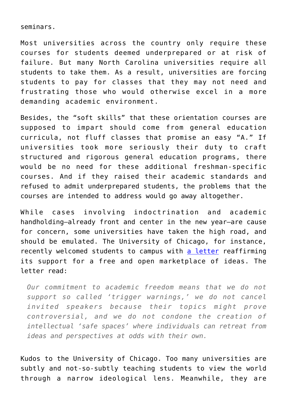seminars.

Most universities across the country only require these courses for students deemed underprepared or at risk of failure. But many North Carolina universities require all students to take them. As a result, universities are forcing students to pay for classes that they may not need and frustrating those who would otherwise excel in a more demanding academic environment.

Besides, the "soft skills" that these orientation courses are supposed to impart should come from general education curricula, not fluff classes that promise an easy "A." If universities took more seriously their duty to craft structured and rigorous general education programs, there would be no need for these additional freshman-specific courses. And if they raised their academic standards and refused to admit underprepared students, the problems that the courses are intended to address would go away altogether.

While cases involving indoctrination and academic handholding—already front and center in the new year—are cause for concern, some universities have taken the high road, and should be emulated. The University of Chicago, for instance, recently welcomed students to campus with [a letter](https://www.intellectualtakeout.org/blog/univ-chicago-pushes-back-trigger-warnings-safe-spaces) reaffirming its support for a free and open marketplace of ideas. The letter read:

*Our commitment to academic freedom means that we do not support so called 'trigger warnings,' we do not cancel invited speakers because their topics might prove controversial, and we do not condone the creation of intellectual 'safe spaces' where individuals can retreat from ideas and perspectives at odds with their own.*

Kudos to the University of Chicago. Too many universities are subtly and not-so-subtly teaching students to view the world through a narrow ideological lens. Meanwhile, they are